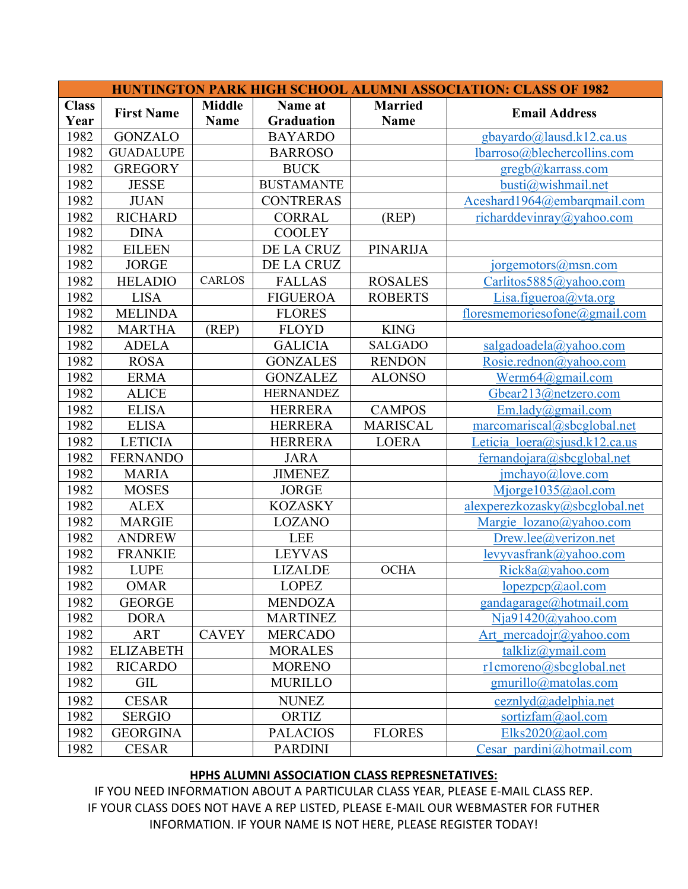| HUNTINGTON PARK HIGH SCHOOL ALUMNI ASSOCIATION: CLASS OF 1982 |                   |               |                   |                 |                                |  |  |  |  |
|---------------------------------------------------------------|-------------------|---------------|-------------------|-----------------|--------------------------------|--|--|--|--|
| <b>Class</b>                                                  | <b>First Name</b> | <b>Middle</b> | Name at           | <b>Married</b>  | <b>Email Address</b>           |  |  |  |  |
| Year                                                          |                   | <b>Name</b>   | Graduation        | <b>Name</b>     |                                |  |  |  |  |
| 1982                                                          | <b>GONZALO</b>    |               | <b>BAYARDO</b>    |                 | gbayardo@lausd.k12.ca.us       |  |  |  |  |
| 1982                                                          | <b>GUADALUPE</b>  |               | <b>BARROSO</b>    |                 | lbarroso@blechercollins.com    |  |  |  |  |
| 1982                                                          | <b>GREGORY</b>    |               | <b>BUCK</b>       |                 | gregb@karrass.com              |  |  |  |  |
| 1982                                                          | <b>JESSE</b>      |               | <b>BUSTAMANTE</b> |                 | busti@wishmail.net             |  |  |  |  |
| 1982                                                          | <b>JUAN</b>       |               | <b>CONTRERAS</b>  |                 | Aceshard1964@embarqmail.com    |  |  |  |  |
| 1982                                                          | <b>RICHARD</b>    |               | <b>CORRAL</b>     | (REP)           | richarddevinray@yahoo.com      |  |  |  |  |
| 1982                                                          | <b>DINA</b>       |               | <b>COOLEY</b>     |                 |                                |  |  |  |  |
| 1982                                                          | <b>EILEEN</b>     |               | DE LA CRUZ        | <b>PINARIJA</b> |                                |  |  |  |  |
| 1982                                                          | <b>JORGE</b>      |               | DE LA CRUZ        |                 | $j$ orgemotors $(a)$ msn.com   |  |  |  |  |
| 1982                                                          | <b>HELADIO</b>    | <b>CARLOS</b> | <b>FALLAS</b>     | <b>ROSALES</b>  | Carlitos5885@yahoo.com         |  |  |  |  |
| 1982                                                          | <b>LISA</b>       |               | <b>FIGUEROA</b>   | <b>ROBERTS</b>  | Lisa.figueroa@vta.org          |  |  |  |  |
| 1982                                                          | <b>MELINDA</b>    |               | <b>FLORES</b>     |                 | floresmemoriesofone@gmail.com  |  |  |  |  |
| 1982                                                          | <b>MARTHA</b>     | (REP)         | <b>FLOYD</b>      | <b>KING</b>     |                                |  |  |  |  |
| 1982                                                          | <b>ADELA</b>      |               | <b>GALICIA</b>    | <b>SALGADO</b>  | salgadoadela@yahoo.com         |  |  |  |  |
| 1982                                                          | <b>ROSA</b>       |               | <b>GONZALES</b>   | <b>RENDON</b>   | Rosie.rednon@yahoo.com         |  |  |  |  |
| 1982                                                          | <b>ERMA</b>       |               | <b>GONZALEZ</b>   | <b>ALONSO</b>   | Werm64@gmail.com               |  |  |  |  |
| 1982                                                          | <b>ALICE</b>      |               | <b>HERNANDEZ</b>  |                 | Gbear213@netzero.com           |  |  |  |  |
| 1982                                                          | <b>ELISA</b>      |               | <b>HERRERA</b>    | <b>CAMPOS</b>   | $Em.\n$ lady@gmail.com         |  |  |  |  |
| 1982                                                          | <b>ELISA</b>      |               | <b>HERRERA</b>    | <b>MARISCAL</b> | marcomariscal(a) sbcglobal.net |  |  |  |  |
| 1982                                                          | <b>LETICIA</b>    |               | <b>HERRERA</b>    | <b>LOERA</b>    | Leticia loera@sjusd.k12.ca.us  |  |  |  |  |
| 1982                                                          | <b>FERNANDO</b>   |               | <b>JARA</b>       |                 | fernandojara@sbcglobal.net     |  |  |  |  |
| 1982                                                          | <b>MARIA</b>      |               | <b>JIMENEZ</b>    |                 | jmchayo@, love.com             |  |  |  |  |
| 1982                                                          | <b>MOSES</b>      |               | <b>JORGE</b>      |                 | Mjorge1035@aol.com             |  |  |  |  |
| 1982                                                          | <b>ALEX</b>       |               | <b>KOZASKY</b>    |                 | alexperezkozasky@sbcglobal.net |  |  |  |  |
| 1982                                                          | <b>MARGIE</b>     |               | <b>LOZANO</b>     |                 | Margie lozano@yahoo.com        |  |  |  |  |
| 1982                                                          | <b>ANDREW</b>     |               | <b>LEE</b>        |                 | Drew. lee@verizon.net          |  |  |  |  |
| 1982                                                          | <b>FRANKIE</b>    |               | <b>LEYVAS</b>     |                 | levyvasfrank@yahoo.com         |  |  |  |  |
| 1982                                                          | <b>LUPE</b>       |               | <b>LIZALDE</b>    | <b>OCHA</b>     | Rick8a@yahoo.com               |  |  |  |  |
| 1982                                                          | <b>OMAR</b>       |               | <b>LOPEZ</b>      |                 | $\log_{\rm 2DCP}(a)$ aol.com   |  |  |  |  |
| 1982                                                          | <b>GEORGE</b>     |               | <b>MENDOZA</b>    |                 | gandagarage@hotmail.com        |  |  |  |  |
| 1982                                                          | <b>DORA</b>       |               | <b>MARTINEZ</b>   |                 | Nja91420@yahoo.com             |  |  |  |  |
| 1982                                                          | ART               | <b>CAVEY</b>  | <b>MERCADO</b>    |                 | Art mercadojr@yahoo.com        |  |  |  |  |
| 1982                                                          | <b>ELIZABETH</b>  |               | <b>MORALES</b>    |                 | talkliz@ymail.com              |  |  |  |  |
| 1982                                                          | <b>RICARDO</b>    |               | <b>MORENO</b>     |                 | rlcmoreno@sbcglobal.net        |  |  |  |  |
| 1982                                                          | <b>GIL</b>        |               | <b>MURILLO</b>    |                 | gmurillo@matolas.com           |  |  |  |  |
| 1982                                                          | <b>CESAR</b>      |               | <b>NUNEZ</b>      |                 | ceznlyd@adelphia.net           |  |  |  |  |
| 1982                                                          | <b>SERGIO</b>     |               | ORTIZ             |                 | sortizfam@aol.com              |  |  |  |  |
| 1982                                                          | <b>GEORGINA</b>   |               | <b>PALACIOS</b>   | <b>FLORES</b>   | Elks2020@aol.com               |  |  |  |  |
| 1982                                                          | <b>CESAR</b>      |               | <b>PARDINI</b>    |                 | Cesar pardini@hotmail.com      |  |  |  |  |

## **HPHS ALUMNI ASSOCIATION CLASS REPRESNETATIVES:**

IF YOU NEED INFORMATION ABOUT A PARTICULAR CLASS YEAR, PLEASE E-MAIL CLASS REP. IF YOUR CLASS DOES NOT HAVE A REP LISTED, PLEASE E-MAIL OUR WEBMASTER FOR FUTHER INFORMATION. IF YOUR NAME IS NOT HERE, PLEASE REGISTER TODAY!